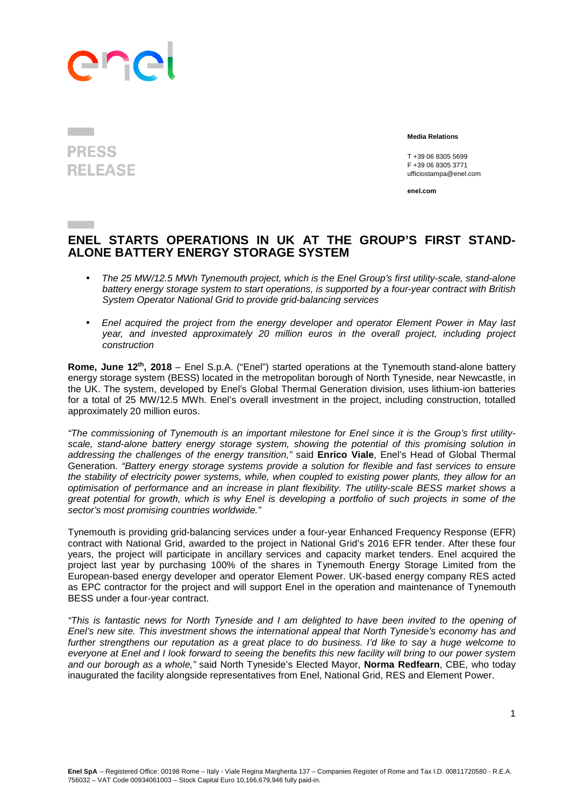## ane

## **PRESS RELEASE**

 **Media Relations** 

T +39 06 8305 5699 F +39 06 8305 3771 ufficiostampa@enel.com

**enel.com**

## **ENEL STARTS OPERATIONS IN UK AT THE GROUP'S FIRST STAND-ALONE BATTERY ENERGY STORAGE SYSTEM**

- The 25 MW/12.5 MWh Tynemouth project, which is the Enel Group's first utility-scale, stand-alone battery energy storage system to start operations, is supported by a four-year contract with British System Operator National Grid to provide grid-balancing services
- Enel acquired the project from the energy developer and operator Element Power in May last year, and invested approximately 20 million euros in the overall project, including project construction

**Rome, June 12th, 2018** – Enel S.p.A. ("Enel") started operations at the Tynemouth stand-alone battery energy storage system (BESS) located in the metropolitan borough of North Tyneside, near Newcastle, in the UK. The system, developed by Enel's Global Thermal Generation division, uses lithium-ion batteries for a total of 25 MW/12.5 MWh. Enel's overall investment in the project, including construction, totalled approximately 20 million euros.

"The commissioning of Tynemouth is an important milestone for Enel since it is the Group's first utilityscale, stand-alone battery energy storage system, showing the potential of this promising solution in addressing the challenges of the energy transition," said **Enrico Viale**, Enel's Head of Global Thermal Generation. "Battery energy storage systems provide a solution for flexible and fast services to ensure the stability of electricity power systems, while, when coupled to existing power plants, they allow for an optimisation of performance and an increase in plant flexibility. The utility-scale BESS market shows a great potential for growth, which is why Enel is developing a portfolio of such projects in some of the sector's most promising countries worldwide."

Tynemouth is providing grid-balancing services under a four-year Enhanced Frequency Response (EFR) contract with National Grid, awarded to the project in National Grid's 2016 EFR tender. After these four years, the project will participate in ancillary services and capacity market tenders. Enel acquired the project last year by purchasing 100% of the shares in Tynemouth Energy Storage Limited from the European-based energy developer and operator Element Power. UK-based energy company RES acted as EPC contractor for the project and will support Enel in the operation and maintenance of Tynemouth BESS under a four-year contract.

"This is fantastic news for North Tyneside and I am delighted to have been invited to the opening of Enel's new site. This investment shows the international appeal that North Tyneside's economy has and further strengthens our reputation as a great place to do business. I'd like to say a huge welcome to everyone at Enel and I look forward to seeing the benefits this new facility will bring to our power system and our borough as a whole," said North Tyneside's Elected Mayor, **Norma Redfearn**, CBE, who today inaugurated the facility alongside representatives from Enel, National Grid, RES and Element Power.